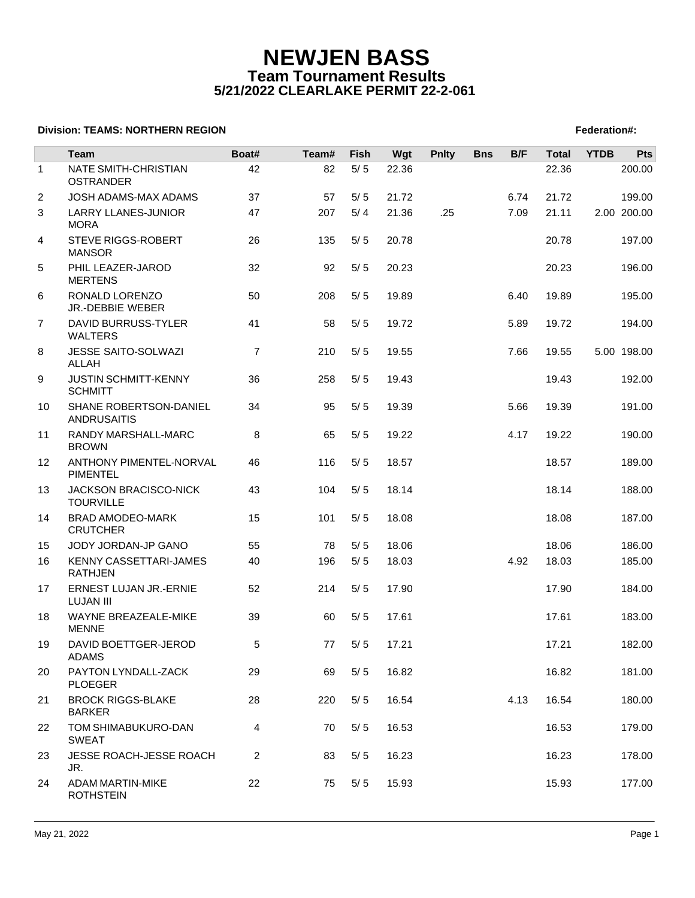# **NEWJEN BASS Team Tournament Results 5/21/2022 CLEARLAKE PERMIT 22-2-061**

## **Division: TEAMS: NORTHERN REGION FEDERATION FEDERATION: A SET AND RESIDENT SERVICES AND RESIDENT SERVICES**

|                | Team                                          | Boat#          | Team# | <b>Fish</b> | Wgt   | <b>Pnlty</b> | <b>Bns</b> | B/F  | <b>Total</b> | <b>YTDB</b> | Pts         |
|----------------|-----------------------------------------------|----------------|-------|-------------|-------|--------------|------------|------|--------------|-------------|-------------|
| $\mathbf{1}$   | NATE SMITH-CHRISTIAN<br><b>OSTRANDER</b>      | 42             | 82    | $5/5$       | 22.36 |              |            |      | 22.36        |             | 200.00      |
| $\overline{2}$ | JOSH ADAMS-MAX ADAMS                          | 37             | 57    | 5/5         | 21.72 |              |            | 6.74 | 21.72        |             | 199.00      |
| 3              | <b>LARRY LLANES-JUNIOR</b><br><b>MORA</b>     | 47             | 207   | 5/4         | 21.36 | .25          |            | 7.09 | 21.11        |             | 2.00 200.00 |
| 4              | <b>STEVE RIGGS-ROBERT</b><br><b>MANSOR</b>    | 26             | 135   | 5/5         | 20.78 |              |            |      | 20.78        |             | 197.00      |
| 5              | PHIL LEAZER-JAROD<br><b>MERTENS</b>           | 32             | 92    | 5/5         | 20.23 |              |            |      | 20.23        |             | 196.00      |
| 6              | RONALD LORENZO<br>JR.-DEBBIE WEBER            | 50             | 208   | 5/5         | 19.89 |              |            | 6.40 | 19.89        |             | 195.00      |
| $\overline{7}$ | DAVID BURRUSS-TYLER<br><b>WALTERS</b>         | 41             | 58    | 5/5         | 19.72 |              |            | 5.89 | 19.72        |             | 194.00      |
| 8              | JESSE SAITO-SOLWAZI<br>ALLAH                  | $\overline{7}$ | 210   | 5/5         | 19.55 |              |            | 7.66 | 19.55        |             | 5.00 198.00 |
| 9              | <b>JUSTIN SCHMITT-KENNY</b><br><b>SCHMITT</b> | 36             | 258   | 5/5         | 19.43 |              |            |      | 19.43        |             | 192.00      |
| 10             | SHANE ROBERTSON-DANIEL<br><b>ANDRUSAITIS</b>  | 34             | 95    | 5/5         | 19.39 |              |            | 5.66 | 19.39        |             | 191.00      |
| 11             | RANDY MARSHALL-MARC<br><b>BROWN</b>           | 8              | 65    | 5/5         | 19.22 |              |            | 4.17 | 19.22        |             | 190.00      |
| 12             | ANTHONY PIMENTEL-NORVAL<br><b>PIMENTEL</b>    | 46             | 116   | 5/5         | 18.57 |              |            |      | 18.57        |             | 189.00      |
| 13             | JACKSON BRACISCO-NICK<br><b>TOURVILLE</b>     | 43             | 104   | 5/5         | 18.14 |              |            |      | 18.14        |             | 188.00      |
| 14             | <b>BRAD AMODEO-MARK</b><br><b>CRUTCHER</b>    | 15             | 101   | 5/5         | 18.08 |              |            |      | 18.08        |             | 187.00      |
| 15             | JODY JORDAN-JP GANO                           | 55             | 78    | 5/5         | 18.06 |              |            |      | 18.06        |             | 186.00      |
| 16             | KENNY CASSETTARI-JAMES<br><b>RATHJEN</b>      | 40             | 196   | 5/5         | 18.03 |              |            | 4.92 | 18.03        |             | 185.00      |
| 17             | ERNEST LUJAN JR.-ERNIE<br><b>LUJAN III</b>    | 52             | 214   | 5/5         | 17.90 |              |            |      | 17.90        |             | 184.00      |
| 18             | WAYNE BREAZEALE-MIKE<br><b>MENNE</b>          | 39             | 60    | 5/5         | 17.61 |              |            |      | 17.61        |             | 183.00      |
| 19             | DAVID BOETTGER-JEROD<br><b>ADAMS</b>          | 5              | 77    | 5/5         | 17.21 |              |            |      | 17.21        |             | 182.00      |
| 20             | PAYTON LYNDALL-ZACK<br><b>PLOEGER</b>         | 29             | 69    | 5/5         | 16.82 |              |            |      | 16.82        |             | 181.00      |
| 21             | <b>BROCK RIGGS-BLAKE</b><br><b>BARKER</b>     | 28             | 220   | 5/5         | 16.54 |              |            | 4.13 | 16.54        |             | 180.00      |
| 22             | TOM SHIMABUKURO-DAN<br><b>SWEAT</b>           | 4              | 70    | 5/5         | 16.53 |              |            |      | 16.53        |             | 179.00      |
| 23             | JESSE ROACH-JESSE ROACH<br>JR.                | 2              | 83    | 5/5         | 16.23 |              |            |      | 16.23        |             | 178.00      |
| 24             | <b>ADAM MARTIN-MIKE</b><br><b>ROTHSTEIN</b>   | 22             | 75    | 5/5         | 15.93 |              |            |      | 15.93        |             | 177.00      |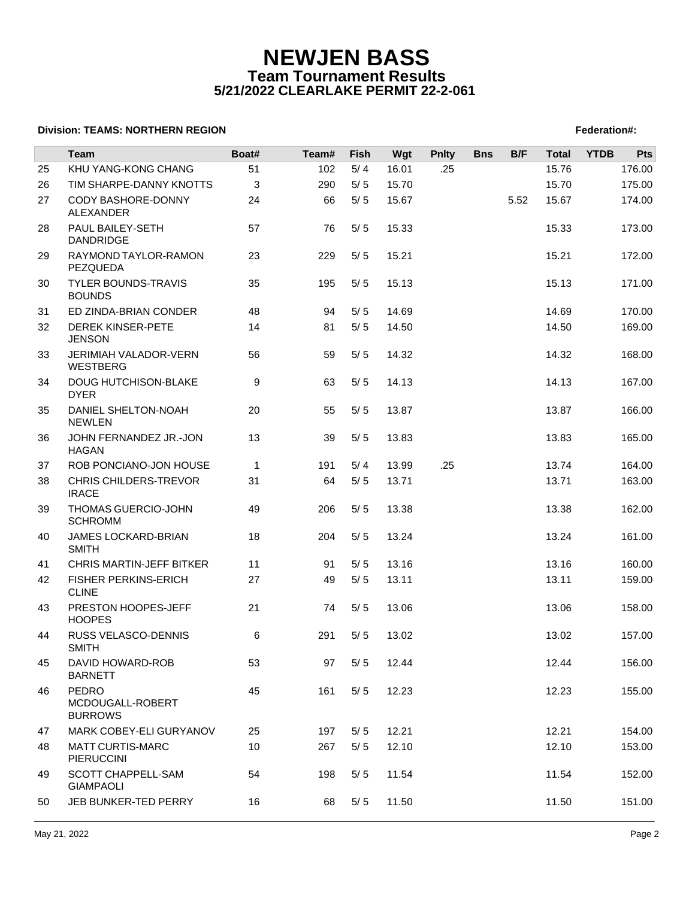## **NEWJEN BASS Team Tournament Results 5/21/2022 CLEARLAKE PERMIT 22-2-061**

## **Division: TEAMS: NORTHERN REGION FEDERATION FEDERATION: A SET AND RESIDENT SERVICES AND RESIDENT SERVICES**

|    | Team                                               | Boat#        | Team# | Fish  | Wgt   | <b>Pnlty</b> | <b>Bns</b> | B/F  | <b>Total</b> | <b>YTDB</b> | Pts    |
|----|----------------------------------------------------|--------------|-------|-------|-------|--------------|------------|------|--------------|-------------|--------|
| 25 | KHU YANG-KONG CHANG                                | 51           | 102   | 5/4   | 16.01 | .25          |            |      | 15.76        |             | 176.00 |
| 26 | TIM SHARPE-DANNY KNOTTS                            | 3            | 290   | 5/5   | 15.70 |              |            |      | 15.70        |             | 175.00 |
| 27 | CODY BASHORE-DONNY                                 | 24           | 66    | $5/5$ | 15.67 |              |            | 5.52 | 15.67        |             | 174.00 |
|    | <b>ALEXANDER</b>                                   |              |       |       |       |              |            |      |              |             |        |
| 28 | PAUL BAILEY-SETH<br><b>DANDRIDGE</b>               | 57           | 76    | 5/5   | 15.33 |              |            |      | 15.33        |             | 173.00 |
| 29 | RAYMOND TAYLOR-RAMON<br>PEZQUEDA                   | 23           | 229   | 5/5   | 15.21 |              |            |      | 15.21        |             | 172.00 |
| 30 | <b>TYLER BOUNDS-TRAVIS</b><br><b>BOUNDS</b>        | 35           | 195   | 5/5   | 15.13 |              |            |      | 15.13        |             | 171.00 |
| 31 | ED ZINDA-BRIAN CONDER                              | 48           | 94    | 5/5   | 14.69 |              |            |      | 14.69        |             | 170.00 |
| 32 | <b>DEREK KINSER-PETE</b><br><b>JENSON</b>          | 14           | 81    | 5/5   | 14.50 |              |            |      | 14.50        |             | 169.00 |
| 33 | JERIMIAH VALADOR-VERN<br><b>WESTBERG</b>           | 56           | 59    | 5/5   | 14.32 |              |            |      | 14.32        |             | 168.00 |
| 34 | <b>DOUG HUTCHISON-BLAKE</b><br><b>DYER</b>         | 9            | 63    | 5/5   | 14.13 |              |            |      | 14.13        |             | 167.00 |
| 35 | DANIEL SHELTON-NOAH<br><b>NEWLEN</b>               | 20           | 55    | 5/5   | 13.87 |              |            |      | 13.87        |             | 166.00 |
| 36 | JOHN FERNANDEZ JR.-JON<br>HAGAN                    | 13           | 39    | 5/5   | 13.83 |              |            |      | 13.83        |             | 165.00 |
| 37 | ROB PONCIANO-JON HOUSE                             | $\mathbf{1}$ | 191   | 5/4   | 13.99 | .25          |            |      | 13.74        |             | 164.00 |
| 38 | CHRIS CHILDERS-TREVOR<br><b>IRACE</b>              | 31           | 64    | 5/5   | 13.71 |              |            |      | 13.71        |             | 163.00 |
| 39 | THOMAS GUERCIO-JOHN<br><b>SCHROMM</b>              | 49           | 206   | 5/5   | 13.38 |              |            |      | 13.38        |             | 162.00 |
| 40 | JAMES LOCKARD-BRIAN<br><b>SMITH</b>                | 18           | 204   | 5/5   | 13.24 |              |            |      | 13.24        |             | 161.00 |
| 41 | CHRIS MARTIN-JEFF BITKER                           | 11           | 91    | 5/5   | 13.16 |              |            |      | 13.16        |             | 160.00 |
| 42 | <b>FISHER PERKINS-ERICH</b><br><b>CLINE</b>        | 27           | 49    | 5/5   | 13.11 |              |            |      | 13.11        |             | 159.00 |
| 43 | PRESTON HOOPES-JEFF<br><b>HOOPES</b>               | 21           | 74    | 5/5   | 13.06 |              |            |      | 13.06        |             | 158.00 |
| 44 | RUSS VELASCO-DENNIS<br>SMITH                       | 6            | 291   | 5/5   | 13.02 |              |            |      | 13.02        |             | 157.00 |
| 45 | DAVID HOWARD-ROB<br><b>BARNETT</b>                 | 53           | 97    | 5/5   | 12.44 |              |            |      | 12.44        |             | 156.00 |
| 46 | <b>PEDRO</b><br>MCDOUGALL-ROBERT<br><b>BURROWS</b> | 45           | 161   | 5/5   | 12.23 |              |            |      | 12.23        |             | 155.00 |
| 47 | MARK COBEY-ELI GURYANOV                            | 25           | 197   | 5/5   | 12.21 |              |            |      | 12.21        |             | 154.00 |
| 48 | <b>MATT CURTIS-MARC</b><br><b>PIERUCCINI</b>       | 10           | 267   | 5/5   | 12.10 |              |            |      | 12.10        |             | 153.00 |
| 49 | SCOTT CHAPPELL-SAM<br><b>GIAMPAOLI</b>             | 54           | 198   | 5/5   | 11.54 |              |            |      | 11.54        |             | 152.00 |
| 50 | JEB BUNKER-TED PERRY                               | 16           | 68    | 5/5   | 11.50 |              |            |      | 11.50        |             | 151.00 |